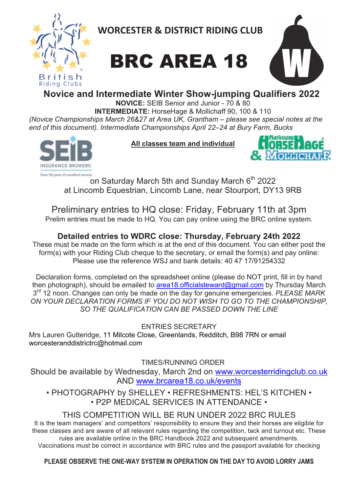

**WORCESTER & DISTRICT RIDING CLUB** 





**Novice and Intermediate Winter Show-jumping Qualifiers 2022**

**NOVICE:** SEIB Senior and Junior - 70 & 80 **INTERMEDIATE:** HorseHage & Mollichaff 90, 100 & 110

*(Novice Championships March 26&27 at Area UK, Grantham – please see special notes at the end of this document). Intermediate Championships April 22–24 at Bury Farm, Bucks*



**All classes team and individual**



Over 50 years of excellent service<br>On Saturday March 5th and Sunday March 6<sup>th</sup> 2022 at Lincomb Equestrian, Lincomb Lane, near Stourport, DY13 9RB

Preliminary entries to HQ close: Friday, February 11th at 3pm Prelim entries must be made to HQ. You can pay online using the BRC online system.

**Detailed entries to WDRC close: Thursday, February 24th 2022** These must be made on the form which is at the end of this document. You can either post the form(s) with your Riding Club cheque to the secretary, or email the form(s) and pay online: Please use the reference WSJ and bank details: 40 47 17/91254332

Declaration forms, completed on the spreadsheet online (please do NOT print, fill in by hand then photograph), should be emailed to area18.officialsteward@gmail.com by Thursday March  $3<sup>rd</sup>$  12 noon. Changes can only be made on the day for genuine emergencies. PLEASE MARK *ON YOUR DECLARATION FORMS IF YOU DO NOT WISH TO GO TO THE CHAMPIONSHIP, SO THE QUALIFICATION CAN BE PASSED DOWN THE LINE*

ENTRIES SECRETARY

Mrs Lauren Gutteridge, 11 Milcote Close, Greenlands, Redditch, B98 7RN or email worcesteranddistrictrc@hotmail.com

TIMES/RUNNING ORDER

Should be available by Wednesday, March 2nd on www.worcesterridingclub.co.uk AND www.brcarea18.co.uk/events

• PHOTOGRAPHY by SHELLEY • REFRESHMENTS: HEL'S KITCHEN • • P2P MEDICAL SERVICES IN ATTENDANCE •

## THIS COMPETITION WILL BE RUN UNDER 2022 BRC RULES

It is the team managers' and competitors' responsibility to ensure they and their horses are eligible for these classes and are aware of all relevant rules regarding the competition, tack and turnout etc. These rules are available online in the BRC Handbook 2022 and subsequent amendments. Vaccinations must be correct in accordance with BRC rules and the passport available for checking

**PLEASE OBSERVE THE ONE-WAY SYSTEM IN OPERATION ON THE DAY TO AVOID LORRY JAMS**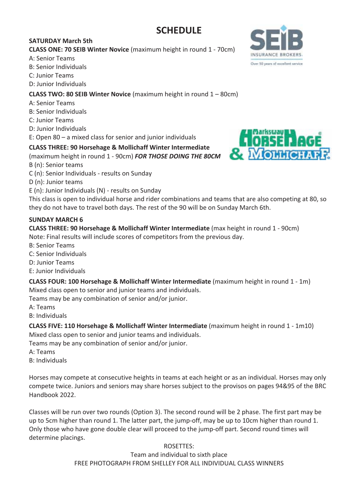# **SCHEDULE**

### **SATURDAY March 5th**

**CLASS ONE: 70 SEIB Winter Novice** (maximum height in round 1 - 70cm)

## A: Senior Teams

- B: Senior Individuals
- C: Junior Teams

D: Junior Individuals

### **CLASS TWO: 80 SEIB Winter Novice** (maximum height in round 1 – 80cm)

- A: Senior Teams
- B: Senior Individuals
- C: Junior Teams

D: Junior Individuals

E: Open  $80 - a$  mixed class for senior and junior individuals

## **CLASS THREE: 90 Horsehage & Mollichaff Winter Intermediate**

(maximum height in round 1 - 90cm) FOR THOSE DOING THE 80CM

- B (n): Senior teams
- C (n): Senior Individuals results on Sunday

D (n): Junior teams

 $E(n)$ : Junior Individuals  $(N)$  - results on Sunday

This class is open to individual horse and rider combinations and teams that are also competing at 80, so they do not have to travel both days. The rest of the 90 will be on Sunday March 6th.

### **SUNDAY MARCH 6**

# **CLASS THREE: 90 Horsehage & Mollichaff Winter Intermediate** (max height in round 1 - 90cm)

Note: Final results will include scores of competitors from the previous day.

- **B: Senior Teams**
- C: Senior Individuals
- D: Junior Teams
- E: Junior Individuals
- **CLASS FOUR: 100 Horsehage & Mollichaff Winter Intermediate** (maximum height in round 1 1m) Mixed class open to senior and junior teams and individuals.

Teams may be any combination of senior and/or junior.

- A: Teams
- B: Individuals

**CLASS FIVE: 110 Horsehage & Mollichaff Winter Intermediate** (maximum height in round 1 - 1m10) Mixed class open to senior and junior teams and individuals.

Teams may be any combination of senior and/or junior.

- A: Teams
- B: Individuals

Horses may compete at consecutive heights in teams at each height or as an individual. Horses may only compete twice. Juniors and seniors may share horses subject to the provisos on pages 94&95 of the BRC Handbook 2022.

Classes will be run over two rounds (Option 3). The second round will be 2 phase. The first part may be up to 5cm higher than round 1. The latter part, the jump-off, may be up to 10cm higher than round 1. Only those who have gone double clear will proceed to the jump-off part. Second round times will determine placings.

#### ROSETTES:

Team and individual to sixth place FREE PHOTOGRAPH FROM SHELLEY FOR ALL INDIVIDUAL CLASS WINNERS